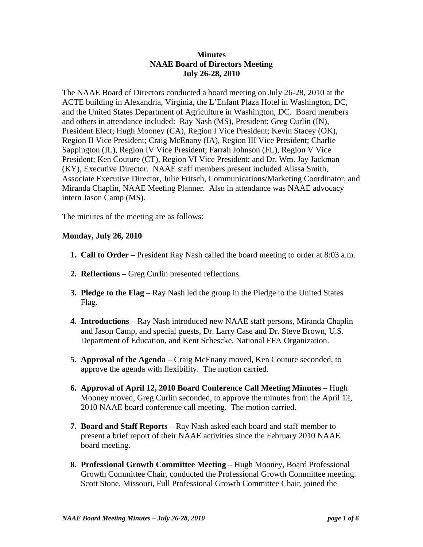### **Minutes NAAE Board of Directors Meeting July 26-28, 2010**

The NAAE Board of Directors conducted a board meeting on July 26-28, 2010 at the ACTE building in Alexandria, Virginia, the L'Enfant Plaza Hotel in Washington, DC, and the United States Department of Agriculture in Washington, DC. Board members and others in attendance included: Ray Nash (MS), President; Greg Curlin (IN), President Elect; Hugh Mooney (CA), Region I Vice President; Kevin Stacey (OK), Region II Vice President; Craig McEnany (IA), Region III Vice President; Charlie Sappington (IL), Region IV Vice President; Farrah Johnson (FL), Region V Vice President; Ken Couture (CT), Region VI Vice President; and Dr. Wm. Jay Jackman (KY), Executive Director. NAAE staff members present included Alissa Smith, Associate Executive Director, Julie Fritsch, Communications/Marketing Coordinator, and Miranda Chaplin, NAAE Meeting Planner. Also in attendance was NAAE advocacy intern Jason Camp (MS).

The minutes of the meeting are as follows:

#### **Monday, July 26, 2010**

- **1. Call to Order** President Ray Nash called the board meeting to order at 8:03 a.m.
- **2. Reflections**  Greg Curlin presented reflections.
- **3. Pledge to the Flag** Ray Nash led the group in the Pledge to the United States Flag.
- **4. Introductions** Ray Nash introduced new NAAE staff persons, Miranda Chaplin and Jason Camp, and special guests, Dr. Larry Case and Dr. Steve Brown, U.S. Department of Education, and Kent Schescke, National FFA Organization.
- **5. Approval of the Agenda** Craig McEnany moved, Ken Couture seconded, to approve the agenda with flexibility. The motion carried.
- **6. Approval of April 12, 2010 Board Conference Call Meeting Minutes** Hugh Mooney moved, Greg Curlin seconded, to approve the minutes from the April 12, 2010 NAAE board conference call meeting. The motion carried.
- **7. Board and Staff Reports** Ray Nash asked each board and staff member to present a brief report of their NAAE activities since the February 2010 NAAE board meeting.
- **8. Professional Growth Committee Meeting** Hugh Mooney, Board Professional Growth Committee Chair, conducted the Professional Growth Committee meeting. Scott Stone, Missouri, Full Professional Growth Committee Chair, joined the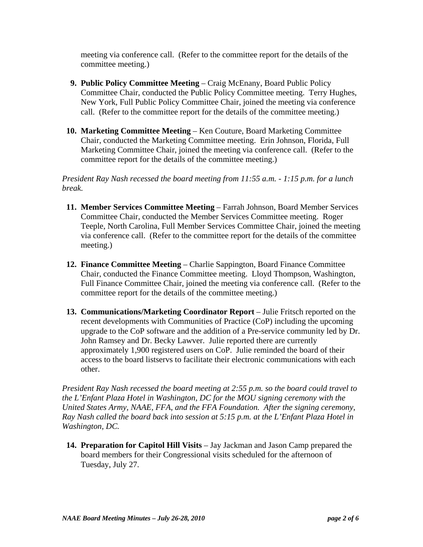meeting via conference call. (Refer to the committee report for the details of the committee meeting.)

- **9. Public Policy Committee Meeting** Craig McEnany, Board Public Policy Committee Chair, conducted the Public Policy Committee meeting. Terry Hughes, New York, Full Public Policy Committee Chair, joined the meeting via conference call. (Refer to the committee report for the details of the committee meeting.)
- **10. Marketing Committee Meeting** Ken Couture, Board Marketing Committee Chair, conducted the Marketing Committee meeting. Erin Johnson, Florida, Full Marketing Committee Chair, joined the meeting via conference call. (Refer to the committee report for the details of the committee meeting.)

*President Ray Nash recessed the board meeting from 11:55 a.m. - 1:15 p.m. for a lunch break.*

- **11. Member Services Committee Meeting** Farrah Johnson, Board Member Services Committee Chair, conducted the Member Services Committee meeting. Roger Teeple, North Carolina, Full Member Services Committee Chair, joined the meeting via conference call. (Refer to the committee report for the details of the committee meeting.)
- **12. Finance Committee Meeting**  Charlie Sappington, Board Finance Committee Chair, conducted the Finance Committee meeting. Lloyd Thompson, Washington, Full Finance Committee Chair, joined the meeting via conference call. (Refer to the committee report for the details of the committee meeting.)
- **13. Communications/Marketing Coordinator Report** Julie Fritsch reported on the recent developments with Communities of Practice (CoP) including the upcoming upgrade to the CoP software and the addition of a Pre-service community led by Dr. John Ramsey and Dr. Becky Lawver. Julie reported there are currently approximately 1,900 registered users on CoP. Julie reminded the board of their access to the board listservs to facilitate their electronic communications with each other.

*President Ray Nash recessed the board meeting at 2:55 p.m. so the board could travel to the L'Enfant Plaza Hotel in Washington, DC for the MOU signing ceremony with the United States Army, NAAE, FFA, and the FFA Foundation. After the signing ceremony, Ray Nash called the board back into session at 5:15 p.m. at the L'Enfant Plaza Hotel in Washington, DC.*

**14. Preparation for Capitol Hill Visits** – Jay Jackman and Jason Camp prepared the board members for their Congressional visits scheduled for the afternoon of Tuesday, July 27.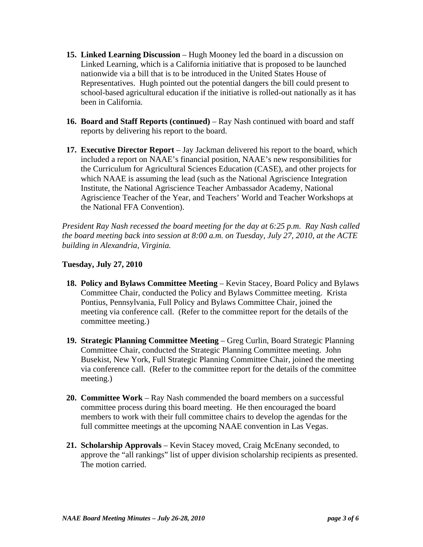- **15. Linked Learning Discussion** Hugh Mooney led the board in a discussion on Linked Learning, which is a California initiative that is proposed to be launched nationwide via a bill that is to be introduced in the United States House of Representatives. Hugh pointed out the potential dangers the bill could present to school-based agricultural education if the initiative is rolled-out nationally as it has been in California.
- **16. Board and Staff Reports (continued)** Ray Nash continued with board and staff reports by delivering his report to the board.
- **17. Executive Director Report** Jay Jackman delivered his report to the board, which included a report on NAAE's financial position, NAAE's new responsibilities for the Curriculum for Agricultural Sciences Education (CASE), and other projects for which NAAE is assuming the lead (such as the National Agriscience Integration Institute, the National Agriscience Teacher Ambassador Academy, National Agriscience Teacher of the Year, and Teachers' World and Teacher Workshops at the National FFA Convention).

*President Ray Nash recessed the board meeting for the day at 6:25 p.m. Ray Nash called the board meeting back into session at 8:00 a.m. on Tuesday, July 27, 2010, at the ACTE building in Alexandria, Virginia.*

# **Tuesday, July 27, 2010**

- **18. Policy and Bylaws Committee Meeting Kevin Stacey, Board Policy and Bylaws** Committee Chair, conducted the Policy and Bylaws Committee meeting. Krista Pontius, Pennsylvania, Full Policy and Bylaws Committee Chair, joined the meeting via conference call. (Refer to the committee report for the details of the committee meeting.)
- **19. Strategic Planning Committee Meeting Greg Curlin, Board Strategic Planning** Committee Chair, conducted the Strategic Planning Committee meeting. John Busekist, New York, Full Strategic Planning Committee Chair, joined the meeting via conference call. (Refer to the committee report for the details of the committee meeting.)
- **20. Committee Work** Ray Nash commended the board members on a successful committee process during this board meeting. He then encouraged the board members to work with their full committee chairs to develop the agendas for the full committee meetings at the upcoming NAAE convention in Las Vegas.
- **21. Scholarship Approvals** Kevin Stacey moved, Craig McEnany seconded, to approve the "all rankings" list of upper division scholarship recipients as presented. The motion carried.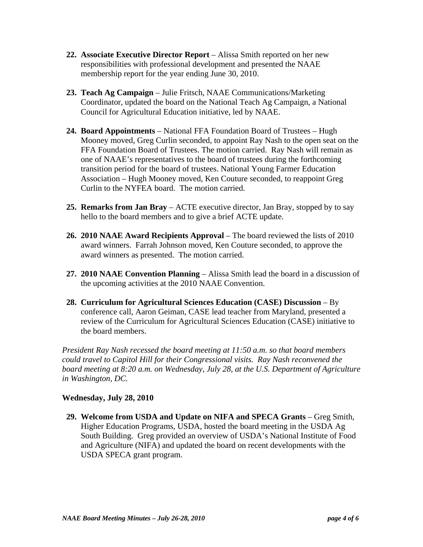- **22. Associate Executive Director Report** Alissa Smith reported on her new responsibilities with professional development and presented the NAAE membership report for the year ending June 30, 2010.
- **23. Teach Ag Campaign** Julie Fritsch, NAAE Communications/Marketing Coordinator, updated the board on the National Teach Ag Campaign, a National Council for Agricultural Education initiative, led by NAAE.
- **24. Board Appointments** National FFA Foundation Board of Trustees Hugh Mooney moved, Greg Curlin seconded, to appoint Ray Nash to the open seat on the FFA Foundation Board of Trustees. The motion carried. Ray Nash will remain as one of NAAE's representatives to the board of trustees during the forthcoming transition period for the board of trustees. National Young Farmer Education Association – Hugh Mooney moved, Ken Couture seconded, to reappoint Greg Curlin to the NYFEA board. The motion carried.
- **25. Remarks from Jan Bray** ACTE executive director, Jan Bray, stopped by to say hello to the board members and to give a brief ACTE update.
- **26. 2010 NAAE Award Recipients Approval** The board reviewed the lists of 2010 award winners. Farrah Johnson moved, Ken Couture seconded, to approve the award winners as presented. The motion carried.
- **27. 2010 NAAE Convention Planning** Alissa Smith lead the board in a discussion of the upcoming activities at the 2010 NAAE Convention.
- **28. Curriculum for Agricultural Sciences Education (CASE) Discussion** By conference call, Aaron Geiman, CASE lead teacher from Maryland, presented a review of the Curriculum for Agricultural Sciences Education (CASE) initiative to the board members.

*President Ray Nash recessed the board meeting at 11:50 a.m. so that board members could travel to Capitol Hill for their Congressional visits. Ray Nash reconvened the board meeting at 8:20 a.m. on Wednesday, July 28, at the U.S. Department of Agriculture in Washington, DC.*

### **Wednesday, July 28, 2010**

**29. Welcome from USDA and Update on NIFA and SPECA Grants** – Greg Smith, Higher Education Programs, USDA, hosted the board meeting in the USDA Ag South Building. Greg provided an overview of USDA's National Institute of Food and Agriculture (NIFA) and updated the board on recent developments with the USDA SPECA grant program.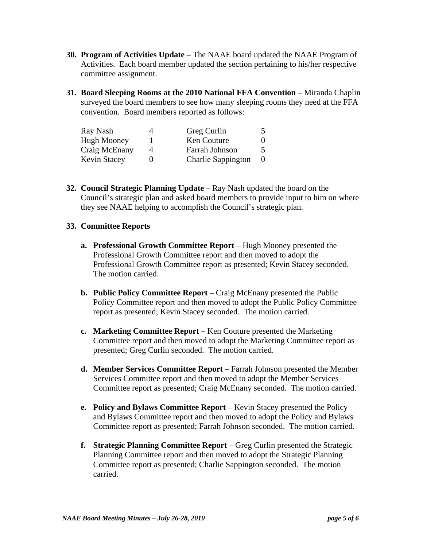- **30. Program of Activities Update** The NAAE board updated the NAAE Program of Activities. Each board member updated the section pertaining to his/her respective committee assignment.
- **31. Board Sleeping Rooms at the 2010 National FFA Convention** Miranda Chaplin surveyed the board members to see how many sleeping rooms they need at the FFA convention. Board members reported as follows:

| Ray Nash            | 4 | Greg Curlin               |  |
|---------------------|---|---------------------------|--|
| <b>Hugh Mooney</b>  |   | Ken Couture               |  |
| Craig McEnany       | Δ | Farrah Johnson            |  |
| <b>Kevin Stacey</b> |   | <b>Charlie Sappington</b> |  |

**32. Council Strategic Planning Update** – Ray Nash updated the board on the Council's strategic plan and asked board members to provide input to him on where they see NAAE helping to accomplish the Council's strategic plan.

## **33. Committee Reports**

- **a. Professional Growth Committee Report** Hugh Mooney presented the Professional Growth Committee report and then moved to adopt the Professional Growth Committee report as presented; Kevin Stacey seconded. The motion carried.
- **b. Public Policy Committee Report** Craig McEnany presented the Public Policy Committee report and then moved to adopt the Public Policy Committee report as presented; Kevin Stacey seconded. The motion carried.
- **c. Marketing Committee Report**  Ken Couture presented the Marketing Committee report and then moved to adopt the Marketing Committee report as presented; Greg Curlin seconded. The motion carried.
- **d. Member Services Committee Report** Farrah Johnson presented the Member Services Committee report and then moved to adopt the Member Services Committee report as presented; Craig McEnany seconded. The motion carried.
- **e.** Policy and Bylaws Committee Report Kevin Stacey presented the Policy and Bylaws Committee report and then moved to adopt the Policy and Bylaws Committee report as presented; Farrah Johnson seconded. The motion carried.
- **f. Strategic Planning Committee Report** Greg Curlin presented the Strategic Planning Committee report and then moved to adopt the Strategic Planning Committee report as presented; Charlie Sappington seconded. The motion carried.